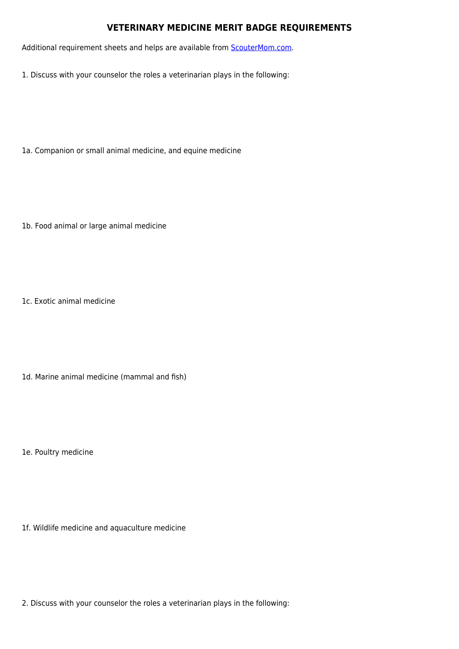## **VETERINARY MEDICINE MERIT BADGE REQUIREMENTS**

Additional requirement sheets and helps are available from **[ScouterMom.com](http://scoutermom.com).** 

1. Discuss with your counselor the roles a veterinarian plays in the following:

1a. Companion or small animal medicine, and equine medicine

1b. Food animal or large animal medicine

1c. Exotic animal medicine

1d. Marine animal medicine (mammal and fish)

1e. Poultry medicine

1f. Wildlife medicine and aquaculture medicine

2. Discuss with your counselor the roles a veterinarian plays in the following: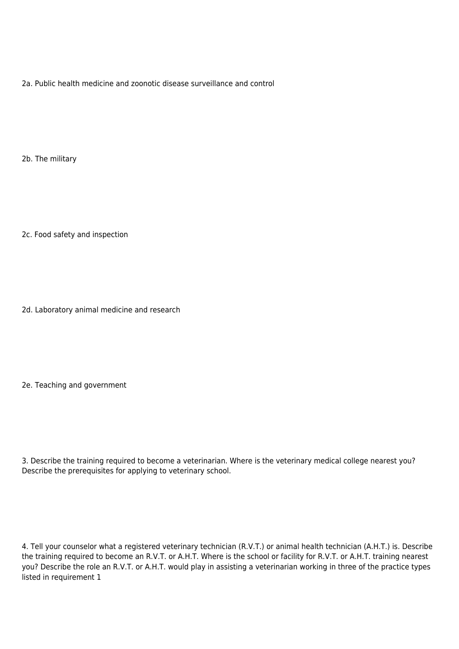2a. Public health medicine and zoonotic disease surveillance and control

2b. The military

2c. Food safety and inspection

2d. Laboratory animal medicine and research

2e. Teaching and government

3. Describe the training required to become a veterinarian. Where is the veterinary medical college nearest you? Describe the prerequisites for applying to veterinary school.

4. Tell your counselor what a registered veterinary technician (R.V.T.) or animal health technician (A.H.T.) is. Describe the training required to become an R.V.T. or A.H.T. Where is the school or facility for R.V.T. or A.H.T. training nearest you? Describe the role an R.V.T. or A.H.T. would play in assisting a veterinarian working in three of the practice types listed in requirement 1